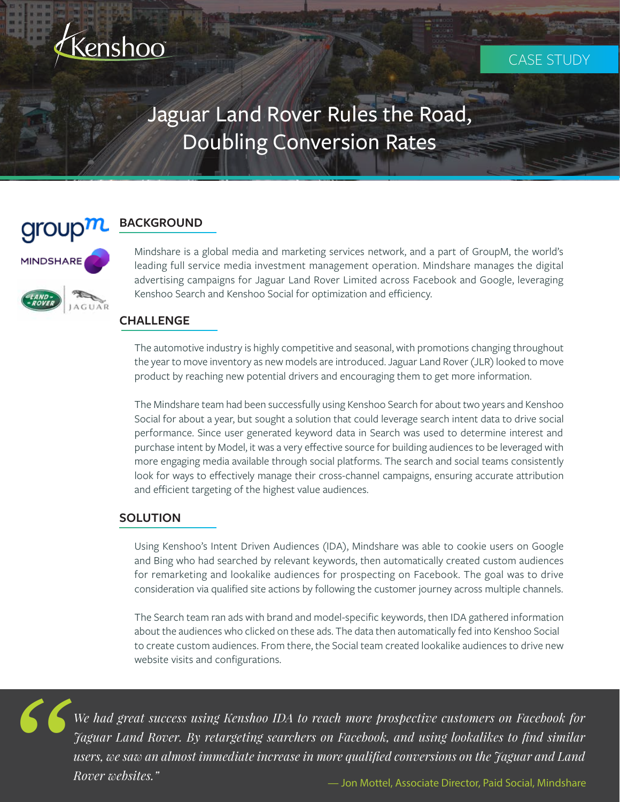

# Jaguar Land Rover Rules the Road, Doubling Conversion Rates



MINDSHARE

# **BACKGROUND**

Mindshare is a global media and marketing services network, and a part of GroupM, the world's leading full service media investment management operation. Mindshare manages the digital advertising campaigns for Jaguar Land Rover Limited across Facebook and Google, leveraging Kenshoo Search and Kenshoo Social for optimization and efficiency.

#### **CHALLENGE**

The automotive industry is highly competitive and seasonal, with promotions changing throughout the year to move inventory as new models are introduced. Jaguar Land Rover (JLR) looked to move product by reaching new potential drivers and encouraging them to get more information.

The Mindshare team had been successfully using Kenshoo Search for about two years and Kenshoo Social for about a year, but sought a solution that could leverage search intent data to drive social performance. Since user generated keyword data in Search was used to determine interest and purchase intent by Model, it was a very effective source for building audiences to be leveraged with more engaging media available through social platforms. The search and social teams consistently look for ways to effectively manage their cross-channel campaigns, ensuring accurate attribution and efficient targeting of the highest value audiences.

## **SOLUTION**

Using Kenshoo's Intent Driven Audiences (IDA), Mindshare was able to cookie users on Google and Bing who had searched by relevant keywords, then automatically created custom audiences for remarketing and lookalike audiences for prospecting on Facebook. The goal was to drive consideration via qualified site actions by following the customer journey across multiple channels.

The Search team ran ads with brand and model-specific keywords, then IDA gathered information about the audiences who clicked on these ads. The data then automatically fed into Kenshoo Social to create custom audiences. From there, the Social team created lookalike audiences to drive new website visits and configurations.

*"*

*We had great success using Kenshoo IDA to reach more prospective customers on Facebook for Jaguar Land Rover. By retargeting searchers on Facebook, and using lookalikes to find similar users, we saw an almost immediate increase in more qualified conversions on the Jaguar and Land Rover websites."* — Jon Mottel, Associate Director, Paid Social, Mindshare